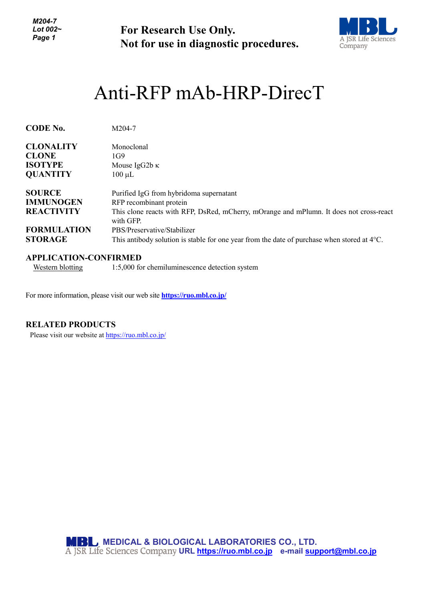*M204-7 Lot 002~ Page 1*

**For Research Use Only. Not for use in diagnostic procedures.**



# Anti-RFP mAb-HRP-DirecT

| <b>CODE No.</b>    | M204-7                                                                                                |
|--------------------|-------------------------------------------------------------------------------------------------------|
| <b>CLONALITY</b>   | Monoclonal                                                                                            |
| <b>CLONE</b>       | 1G9                                                                                                   |
| <b>ISOTYPE</b>     | Mouse IgG2b $\kappa$                                                                                  |
| <b>QUANTITY</b>    | $100 \mu L$                                                                                           |
| <b>SOURCE</b>      | Purified IgG from hybridoma supernatant                                                               |
| <b>IMMUNOGEN</b>   | RFP recombinant protein                                                                               |
| <b>REACTIVITY</b>  | This clone reacts with RFP, DsRed, mCherry, mOrange and mPlumn. It does not cross-react<br>with GFP.  |
| <b>FORMULATION</b> | PBS/Preservative/Stabilizer                                                                           |
| <b>STORAGE</b>     | This antibody solution is stable for one year from the date of purchase when stored at $4^{\circ}$ C. |

# **APPLICATION-CONFIRMED**

Western blotting 1:5,000 for chemiluminescence detection system

For more information, please visit our web site **<https://ruo.mbl.co.jp/>**

## **RELATED PRODUCTS**

Please visit our website at<https://ruo.mbl.co.jp/>